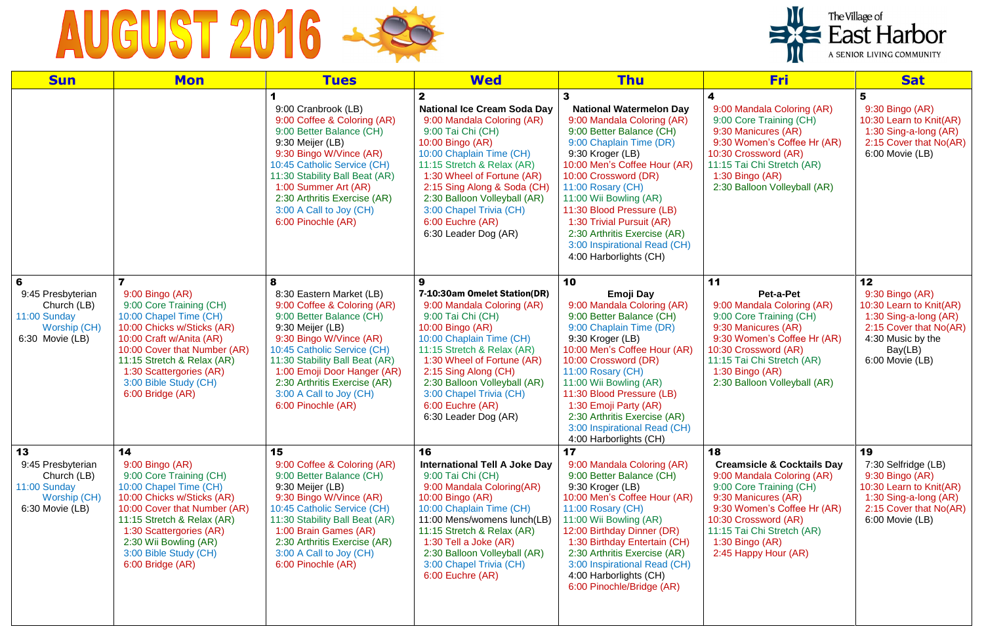## AUGUST 2016 - 2

| <b>Sun</b>                                                                                 | <b>Mon</b>                                                                                                                                                                                                                                                              | <b>Tues</b>                                                                                                                                                                                                                                                                                                              | <b>Wed</b>                                                                                                                                                                                                                                                                                                                              | <b>Thu</b>                                                                                                                                                                                                                                                                                                                                                                                         | <u>Fri</u>                                                                                                                                                                                                                                                    | <b>Sat</b>                                                                                                                                             |
|--------------------------------------------------------------------------------------------|-------------------------------------------------------------------------------------------------------------------------------------------------------------------------------------------------------------------------------------------------------------------------|--------------------------------------------------------------------------------------------------------------------------------------------------------------------------------------------------------------------------------------------------------------------------------------------------------------------------|-----------------------------------------------------------------------------------------------------------------------------------------------------------------------------------------------------------------------------------------------------------------------------------------------------------------------------------------|----------------------------------------------------------------------------------------------------------------------------------------------------------------------------------------------------------------------------------------------------------------------------------------------------------------------------------------------------------------------------------------------------|---------------------------------------------------------------------------------------------------------------------------------------------------------------------------------------------------------------------------------------------------------------|--------------------------------------------------------------------------------------------------------------------------------------------------------|
|                                                                                            |                                                                                                                                                                                                                                                                         | 9:00 Cranbrook (LB)<br>9:00 Coffee & Coloring (AR)<br>9:00 Better Balance (CH)<br>9:30 Meijer (LB)<br>9:30 Bingo W/Vince (AR)<br>10:45 Catholic Service (CH)<br>11:30 Stability Ball Beat (AR)<br>1:00 Summer Art (AR)<br>2:30 Arthritis Exercise (AR)<br>3:00 A Call to Joy (CH)<br>6:00 Pinochle (AR)                  | <b>National Ice Cream Soda Day</b><br>9:00 Mandala Coloring (AR)<br>9:00 Tai Chi (CH)<br>10:00 Bingo (AR)<br>10:00 Chaplain Time (CH)<br>11:15 Stretch & Relax (AR)<br>1:30 Wheel of Fortune (AR)<br>2:15 Sing Along & Soda (CH)<br>2:30 Balloon Volleyball (AR)<br>3:00 Chapel Trivia (CH)<br>6:00 Euchre (AR)<br>6:30 Leader Dog (AR) | <b>National Watermelon Day</b><br>9:00 Mandala Coloring (AR)<br>9:00 Better Balance (CH)<br>9:00 Chaplain Time (DR)<br>9:30 Kroger (LB)<br>10:00 Men's Coffee Hour (AR)<br>10:00 Crossword (DR)<br>11:00 Rosary (CH)<br>11:00 Wii Bowling (AR)<br>11:30 Blood Pressure (LB)<br>1:30 Trivial Pursuit (AR)<br>2:30 Arthritis Exercise (AR)<br>3:00 Inspirational Read (CH)<br>4:00 Harborlights (CH) | 4<br>9:00 Mandala Coloring (AR)<br>9:00 Core Training (CH)<br>9:30 Manicures (AR)<br>9:30 Women's Coffee Hr (AR)<br>10:30 Crossword (AR)<br>11:15 Tai Chi Stretch (AR)<br>$1:30$ Bingo (AR)<br>2:30 Balloon Volleyball (AR)                                   | 5<br>9:30 Bingo (AR)<br>10:30 Learn to Knit(AR)<br>1:30 Sing-a-long (AR)<br>2:15 Cover that No(AR)<br>6:00 Movie (LB)                                  |
| 6<br>9:45 Presbyterian<br>Church (LB)<br>11:00 Sunday<br>Worship (CH)<br>$6:30$ Movie (LB) | 9:00 Bingo (AR)<br>9:00 Core Training (CH)<br>10:00 Chapel Time (CH)<br>10:00 Chicks w/Sticks (AR)<br>10:00 Craft w/Anita (AR)<br>10:00 Cover that Number (AR)<br>11:15 Stretch & Relax (AR)<br>1:30 Scattergories (AR)<br>3:00 Bible Study (CH)<br>6:00 Bridge (AR)    | 8<br>8:30 Eastern Market (LB)<br>9:00 Coffee & Coloring (AR)<br>9:00 Better Balance (CH)<br>9:30 Meijer (LB)<br>9:30 Bingo W/Vince (AR)<br>10:45 Catholic Service (CH)<br>11:30 Stability Ball Beat (AR)<br>1:00 Emoji Door Hanger (AR)<br>2:30 Arthritis Exercise (AR)<br>3:00 A Call to Joy (CH)<br>6:00 Pinochle (AR) | 7-10:30am Omelet Station(DR)<br>9:00 Mandala Coloring (AR)<br>9:00 Tai Chi (CH)<br>10:00 Bingo (AR)<br>10:00 Chaplain Time (CH)<br>11:15 Stretch & Relax (AR)<br>1:30 Wheel of Fortune (AR)<br>2:15 Sing Along (CH)<br>2:30 Balloon Volleyball (AR)<br>3:00 Chapel Trivia (CH)<br>6:00 Euchre (AR)<br>6:30 Leader Dog (AR)              | 10<br>Emoji Day<br>9:00 Mandala Coloring (AR)<br>9:00 Better Balance (CH)<br>9:00 Chaplain Time (DR)<br>9:30 Kroger (LB)<br>10:00 Men's Coffee Hour (AR)<br>10:00 Crossword (DR)<br>11:00 Rosary (CH)<br>11:00 Wii Bowling (AR)<br>11:30 Blood Pressure (LB)<br>1:30 Emoji Party (AR)<br>2:30 Arthritis Exercise (AR)<br>3:00 Inspirational Read (CH)<br>4:00 Harborlights (CH)                    | 11<br>Pet-a-Pet<br>9:00 Mandala Coloring (AR)<br>9:00 Core Training (CH)<br>9:30 Manicures (AR)<br>9:30 Women's Coffee Hr (AR)<br>10:30 Crossword (AR)<br>11:15 Tai Chi Stretch (AR)<br>1:30 Bingo (AR)<br>2:30 Balloon Volleyball (AR)                       | 12<br>9:30 Bingo (AR)<br>10:30 Learn to Knit(AR)<br>1:30 Sing-a-long (AR)<br>2:15 Cover that No(AR)<br>4:30 Music by the<br>Bay(LB)<br>6:00 Movie (LB) |
| 13<br>9:45 Presbyterian<br>Church (LB)<br>11:00 Sunday<br>Worship (CH)<br>6:30 Movie (LB)  | 14<br>9:00 Bingo (AR)<br>9:00 Core Training (CH)<br>10:00 Chapel Time (CH)<br>10:00 Chicks w/Sticks (AR)<br>10:00 Cover that Number (AR)<br>11:15 Stretch & Relax (AR)<br>1:30 Scattergories (AR)<br>2:30 Wii Bowling (AR)<br>3:00 Bible Study (CH)<br>6:00 Bridge (AR) | 15<br>9:00 Coffee & Coloring (AR)<br>9:00 Better Balance (CH)<br>9:30 Meijer (LB)<br>9:30 Bingo W/Vince (AR)<br>10:45 Catholic Service (CH)<br>11:30 Stability Ball Beat (AR)<br>1:00 Brain Games (AR)<br>2:30 Arthritis Exercise (AR)<br>3:00 A Call to Joy (CH)<br>6:00 Pinochle (AR)                                  | 16<br><b>International Tell A Joke Day</b><br>9:00 Tai Chi (CH)<br>9:00 Mandala Coloring(AR)<br>10:00 Bingo (AR)<br>10:00 Chaplain Time (CH)<br>11:00 Mens/womens lunch(LB)<br>11:15 Stretch & Relax (AR)<br>1:30 Tell a Joke (AR)<br>2:30 Balloon Volleyball (AR)<br>3:00 Chapel Trivia (CH)<br>6:00 Euchre (AR)                       | 17<br>9:00 Mandala Coloring (AR)<br>9:00 Better Balance (CH)<br>9:30 Kroger (LB)<br>10:00 Men's Coffee Hour (AR)<br>11:00 Rosary (CH)<br>11:00 Wii Bowling (AR)<br>12:00 Birthday Dinner (DR)<br>1:30 Birthday Entertain (CH)<br>2:30 Arthritis Exercise (AR)<br>3:00 Inspirational Read (CH)<br>4:00 Harborlights (CH)<br>6:00 Pinochle/Bridge (AR)                                               | 18<br><b>Creamsicle &amp; Cocktails Day</b><br>9:00 Mandala Coloring (AR)<br>9:00 Core Training (CH)<br>9:30 Manicures (AR)<br>9:30 Women's Coffee Hr (AR)<br>10:30 Crossword (AR)<br>11:15 Tai Chi Stretch (AR)<br>$1:30$ Bingo (AR)<br>2:45 Happy Hour (AR) | 19<br>7:30 Selfridge (LB)<br>9:30 Bingo (AR)<br>10:30 Learn to Knit(AR)<br>1:30 Sing-a-long (AR)<br>2:15 Cover that No(AR)<br>6:00 Movie (LB)          |

## The Village of<br>East Harbor A SENIOR LIVING COMMUNITY